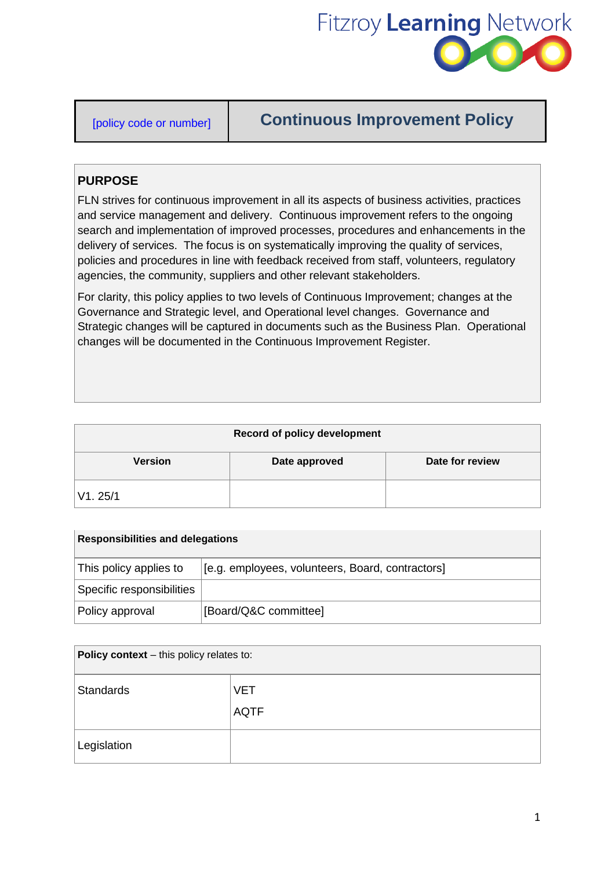

# [policy code or number] **Continuous Improvement Policy**

## **PURPOSE**

FLN strives for continuous improvement in all its aspects of business activities, practices and service management and delivery. Continuous improvement refers to the ongoing search and implementation of improved processes, procedures and enhancements in the delivery of services. The focus is on systematically improving the quality of services, policies and procedures in line with feedback received from staff, volunteers, regulatory agencies, the community, suppliers and other relevant stakeholders.

For clarity, this policy applies to two levels of Continuous Improvement; changes at the Governance and Strategic level, and Operational level changes. Governance and Strategic changes will be captured in documents such as the Business Plan. Operational changes will be documented in the Continuous Improvement Register.

| <b>Record of policy development</b> |               |                 |
|-------------------------------------|---------------|-----------------|
| <b>Version</b>                      | Date approved | Date for review |
| V1.25/1                             |               |                 |

| <b>Responsibilities and delegations</b> |                                                  |  |
|-----------------------------------------|--------------------------------------------------|--|
| This policy applies to                  | [e.g. employees, volunteers, Board, contractors] |  |
| Specific responsibilities               |                                                  |  |
| Policy approval                         | [Board/Q&C committee]                            |  |

| Policy context - this policy relates to: |             |  |
|------------------------------------------|-------------|--|
| Standards                                | <b>VET</b>  |  |
|                                          | <b>AQTF</b> |  |
| Legislation                              |             |  |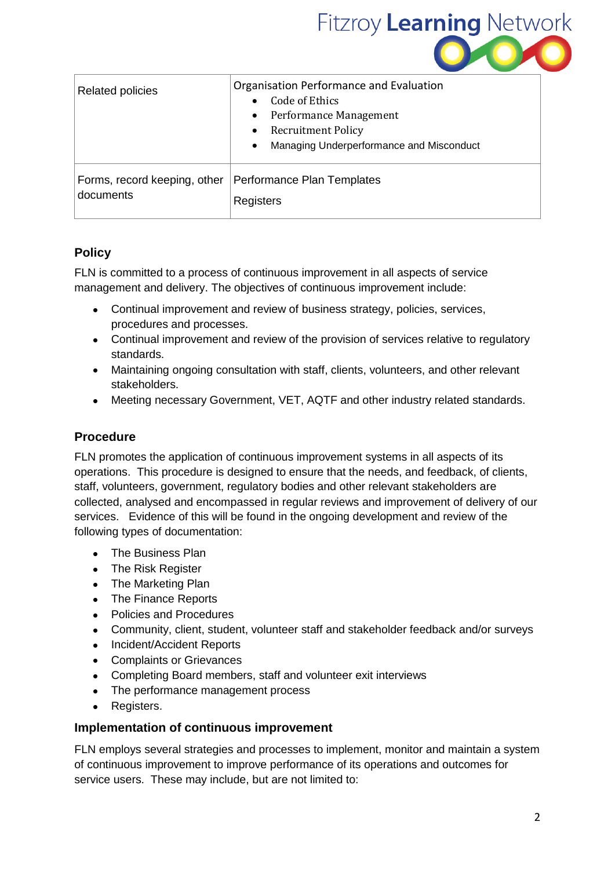

| <b>Related policies</b>      | Organisation Performance and Evaluation<br>Code of Ethics<br><b>Performance Management</b><br>Recruitment Policy<br>Managing Underperformance and Misconduct |
|------------------------------|--------------------------------------------------------------------------------------------------------------------------------------------------------------|
| Forms, record keeping, other | Performance Plan Templates                                                                                                                                   |
| documents                    | Registers                                                                                                                                                    |

## **Policy**

FLN is committed to a process of continuous improvement in all aspects of service management and delivery. The objectives of continuous improvement include:

- Continual improvement and review of business strategy, policies, services, procedures and processes.
- Continual improvement and review of the provision of services relative to regulatory standards.
- Maintaining ongoing consultation with staff, clients, volunteers, and other relevant stakeholders.
- Meeting necessary Government, VET, AQTF and other industry related standards.

### **Procedure**

FLN promotes the application of continuous improvement systems in all aspects of its operations. This procedure is designed to ensure that the needs, and feedback, of clients, staff, volunteers, government, regulatory bodies and other relevant stakeholders are collected, analysed and encompassed in regular reviews and improvement of delivery of our services. Evidence of this will be found in the ongoing development and review of the following types of documentation:

- The Business Plan
- The Risk Register
- The Marketing Plan
- The Finance Reports
- Policies and Procedures
- Community, client, student, volunteer staff and stakeholder feedback and/or surveys
- Incident/Accident Reports
- Complaints or Grievances
- Completing Board members, staff and volunteer exit interviews
- The performance management process
- Registers.

#### **Implementation of continuous improvement**

FLN employs several strategies and processes to implement, monitor and maintain a system of continuous improvement to improve performance of its operations and outcomes for service users. These may include, but are not limited to: